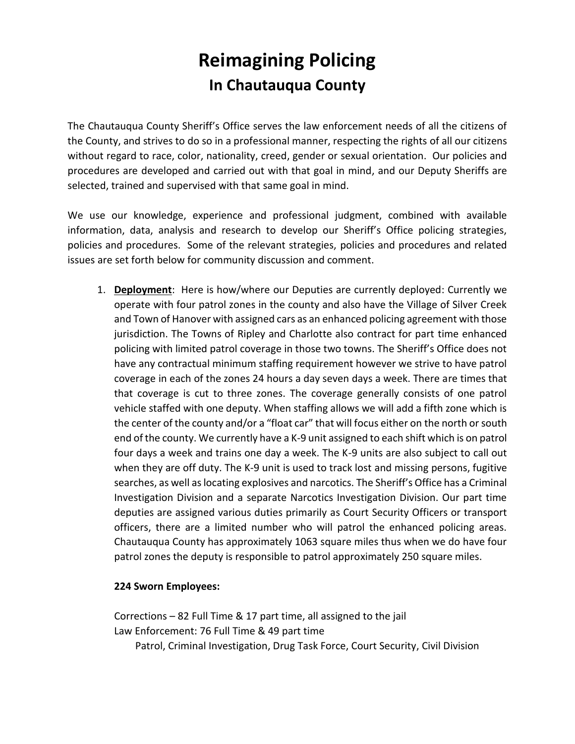## **Reimagining Policing In Chautauqua County**

The Chautauqua County Sheriff's Office serves the law enforcement needs of all the citizens of the County, and strives to do so in a professional manner, respecting the rights of all our citizens without regard to race, color, nationality, creed, gender or sexual orientation. Our policies and procedures are developed and carried out with that goal in mind, and our Deputy Sheriffs are selected, trained and supervised with that same goal in mind.

We use our knowledge, experience and professional judgment, combined with available information, data, analysis and research to develop our Sheriff's Office policing strategies, policies and procedures. Some of the relevant strategies, policies and procedures and related issues are set forth below for community discussion and comment.

1. **Deployment**: Here is how/where our Deputies are currently deployed: Currently we operate with four patrol zones in the county and also have the Village of Silver Creek and Town of Hanover with assigned cars as an enhanced policing agreement with those jurisdiction. The Towns of Ripley and Charlotte also contract for part time enhanced policing with limited patrol coverage in those two towns. The Sheriff's Office does not have any contractual minimum staffing requirement however we strive to have patrol coverage in each of the zones 24 hours a day seven days a week. There are times that that coverage is cut to three zones. The coverage generally consists of one patrol vehicle staffed with one deputy. When staffing allows we will add a fifth zone which is the center of the county and/or a "float car" that will focus either on the north or south end of the county. We currently have a K-9 unit assigned to each shift which is on patrol four days a week and trains one day a week. The K-9 units are also subject to call out when they are off duty. The K-9 unit is used to track lost and missing persons, fugitive searches, as well as locating explosives and narcotics. The Sheriff's Office has a Criminal Investigation Division and a separate Narcotics Investigation Division. Our part time deputies are assigned various duties primarily as Court Security Officers or transport officers, there are a limited number who will patrol the enhanced policing areas. Chautauqua County has approximately 1063 square miles thus when we do have four patrol zones the deputy is responsible to patrol approximately 250 square miles.

## **224 Sworn Employees:**

Corrections – 82 Full Time & 17 part time, all assigned to the jail Law Enforcement: 76 Full Time & 49 part time Patrol, Criminal Investigation, Drug Task Force, Court Security, Civil Division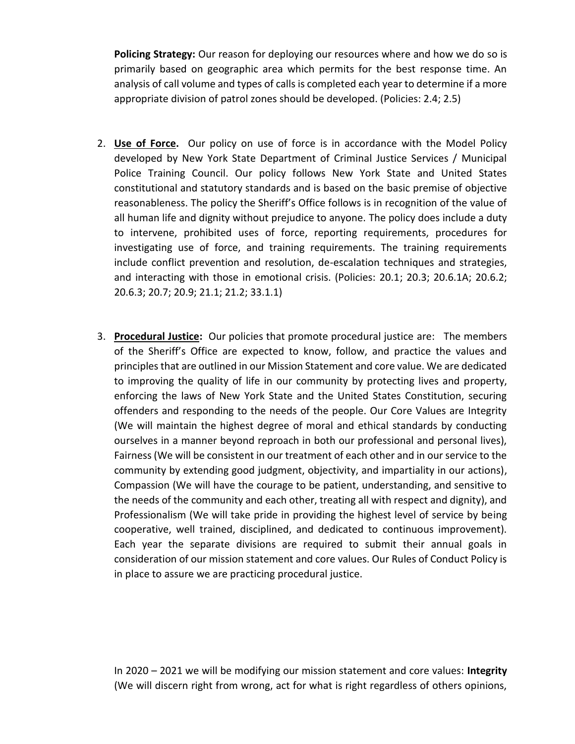**Policing Strategy:** Our reason for deploying our resources where and how we do so is primarily based on geographic area which permits for the best response time. An analysis of call volume and types of calls is completed each year to determine if a more appropriate division of patrol zones should be developed. (Policies: 2.4; 2.5)

- 2. **Use of Force.** Our policy on use of force is in accordance with the Model Policy developed by New York State Department of Criminal Justice Services / Municipal Police Training Council. Our policy follows New York State and United States constitutional and statutory standards and is based on the basic premise of objective reasonableness. The policy the Sheriff's Office follows is in recognition of the value of all human life and dignity without prejudice to anyone. The policy does include a duty to intervene, prohibited uses of force, reporting requirements, procedures for investigating use of force, and training requirements. The training requirements include conflict prevention and resolution, de-escalation techniques and strategies, and interacting with those in emotional crisis. (Policies: 20.1; 20.3; 20.6.1A; 20.6.2; 20.6.3; 20.7; 20.9; 21.1; 21.2; 33.1.1)
- 3. **Procedural Justice:** Our policies that promote procedural justice are: The members of the Sheriff's Office are expected to know, follow, and practice the values and principles that are outlined in our Mission Statement and core value. We are dedicated to improving the quality of life in our community by protecting lives and property, enforcing the laws of New York State and the United States Constitution, securing offenders and responding to the needs of the people. Our Core Values are Integrity (We will maintain the highest degree of moral and ethical standards by conducting ourselves in a manner beyond reproach in both our professional and personal lives), Fairness (We will be consistent in our treatment of each other and in our service to the community by extending good judgment, objectivity, and impartiality in our actions), Compassion (We will have the courage to be patient, understanding, and sensitive to the needs of the community and each other, treating all with respect and dignity), and Professionalism (We will take pride in providing the highest level of service by being cooperative, well trained, disciplined, and dedicated to continuous improvement). Each year the separate divisions are required to submit their annual goals in consideration of our mission statement and core values. Our Rules of Conduct Policy is in place to assure we are practicing procedural justice.

In 2020 – 2021 we will be modifying our mission statement and core values: **Integrity**  (We will discern right from wrong, act for what is right regardless of others opinions,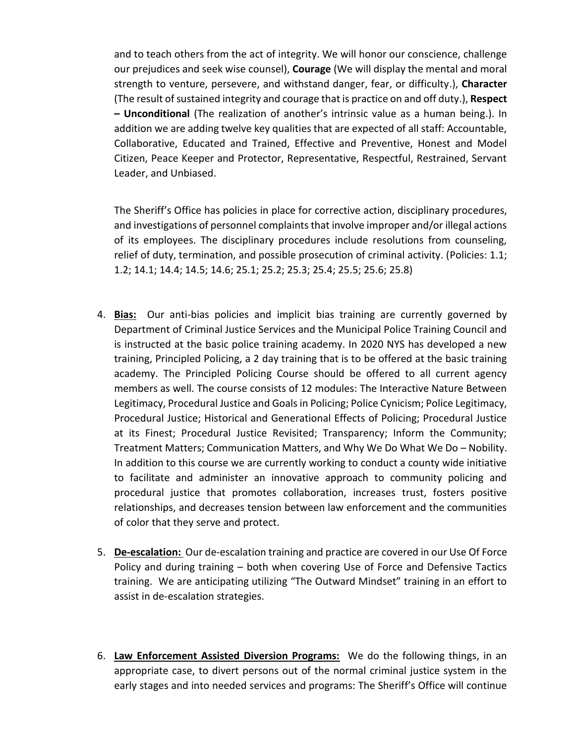and to teach others from the act of integrity. We will honor our conscience, challenge our prejudices and seek wise counsel), **Courage** (We will display the mental and moral strength to venture, persevere, and withstand danger, fear, or difficulty.), **Character**  (The result of sustained integrity and courage that is practice on and off duty.), **Respect – Unconditional** (The realization of another's intrinsic value as a human being.). In addition we are adding twelve key qualities that are expected of all staff: Accountable, Collaborative, Educated and Trained, Effective and Preventive, Honest and Model Citizen, Peace Keeper and Protector, Representative, Respectful, Restrained, Servant Leader, and Unbiased.

The Sheriff's Office has policies in place for corrective action, disciplinary procedures, and investigations of personnel complaints that involve improper and/or illegal actions of its employees. The disciplinary procedures include resolutions from counseling, relief of duty, termination, and possible prosecution of criminal activity. (Policies: 1.1; 1.2; 14.1; 14.4; 14.5; 14.6; 25.1; 25.2; 25.3; 25.4; 25.5; 25.6; 25.8)

- 4. **Bias:** Our anti-bias policies and implicit bias training are currently governed by Department of Criminal Justice Services and the Municipal Police Training Council and is instructed at the basic police training academy. In 2020 NYS has developed a new training, Principled Policing, a 2 day training that is to be offered at the basic training academy. The Principled Policing Course should be offered to all current agency members as well. The course consists of 12 modules: The Interactive Nature Between Legitimacy, Procedural Justice and Goals in Policing; Police Cynicism; Police Legitimacy, Procedural Justice; Historical and Generational Effects of Policing; Procedural Justice at its Finest; Procedural Justice Revisited; Transparency; Inform the Community; Treatment Matters; Communication Matters, and Why We Do What We Do – Nobility. In addition to this course we are currently working to conduct a county wide initiative to facilitate and administer an innovative approach to community policing and procedural justice that promotes collaboration, increases trust, fosters positive relationships, and decreases tension between law enforcement and the communities of color that they serve and protect.
- 5. **De-escalation:** Our de-escalation training and practice are covered in our Use Of Force Policy and during training – both when covering Use of Force and Defensive Tactics training. We are anticipating utilizing "The Outward Mindset" training in an effort to assist in de-escalation strategies.
- 6. **Law Enforcement Assisted Diversion Programs:** We do the following things, in an appropriate case, to divert persons out of the normal criminal justice system in the early stages and into needed services and programs: The Sheriff's Office will continue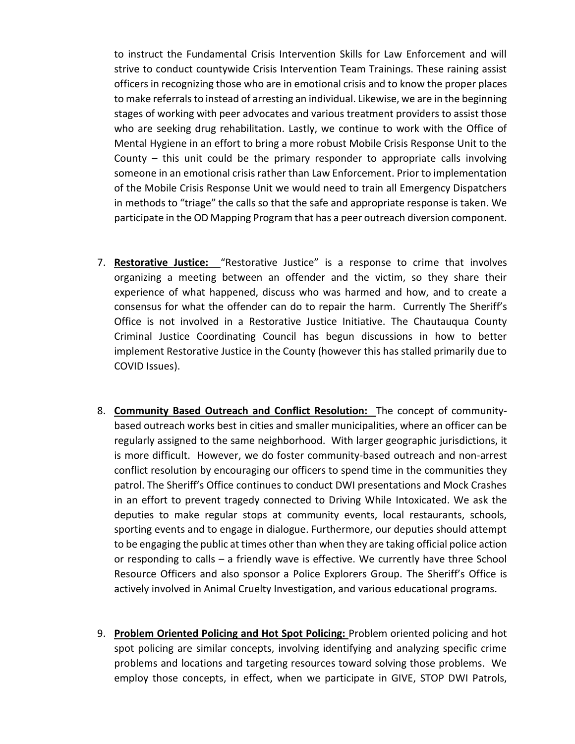to instruct the Fundamental Crisis Intervention Skills for Law Enforcement and will strive to conduct countywide Crisis Intervention Team Trainings. These raining assist officers in recognizing those who are in emotional crisis and to know the proper places to make referrals to instead of arresting an individual. Likewise, we are in the beginning stages of working with peer advocates and various treatment providers to assist those who are seeking drug rehabilitation. Lastly, we continue to work with the Office of Mental Hygiene in an effort to bring a more robust Mobile Crisis Response Unit to the County – this unit could be the primary responder to appropriate calls involving someone in an emotional crisis rather than Law Enforcement. Prior to implementation of the Mobile Crisis Response Unit we would need to train all Emergency Dispatchers in methods to "triage" the calls so that the safe and appropriate response is taken. We participate in the OD Mapping Program that has a peer outreach diversion component.

- 7. **Restorative Justice:** "Restorative Justice" is a response to crime that involves organizing a meeting between an offender and the victim, so they share their experience of what happened, discuss who was harmed and how, and to create a consensus for what the offender can do to repair the harm. Currently The Sheriff's Office is not involved in a Restorative Justice Initiative. The Chautauqua County Criminal Justice Coordinating Council has begun discussions in how to better implement Restorative Justice in the County (however this has stalled primarily due to COVID Issues).
- 8. **Community Based Outreach and Conflict Resolution:** The concept of communitybased outreach works best in cities and smaller municipalities, where an officer can be regularly assigned to the same neighborhood. With larger geographic jurisdictions, it is more difficult. However, we do foster community-based outreach and non-arrest conflict resolution by encouraging our officers to spend time in the communities they patrol. The Sheriff's Office continues to conduct DWI presentations and Mock Crashes in an effort to prevent tragedy connected to Driving While Intoxicated. We ask the deputies to make regular stops at community events, local restaurants, schools, sporting events and to engage in dialogue. Furthermore, our deputies should attempt to be engaging the public at times other than when they are taking official police action or responding to calls – a friendly wave is effective. We currently have three School Resource Officers and also sponsor a Police Explorers Group. The Sheriff's Office is actively involved in Animal Cruelty Investigation, and various educational programs.
- 9. **Problem Oriented Policing and Hot Spot Policing:** Problem oriented policing and hot spot policing are similar concepts, involving identifying and analyzing specific crime problems and locations and targeting resources toward solving those problems. We employ those concepts, in effect, when we participate in GIVE, STOP DWI Patrols,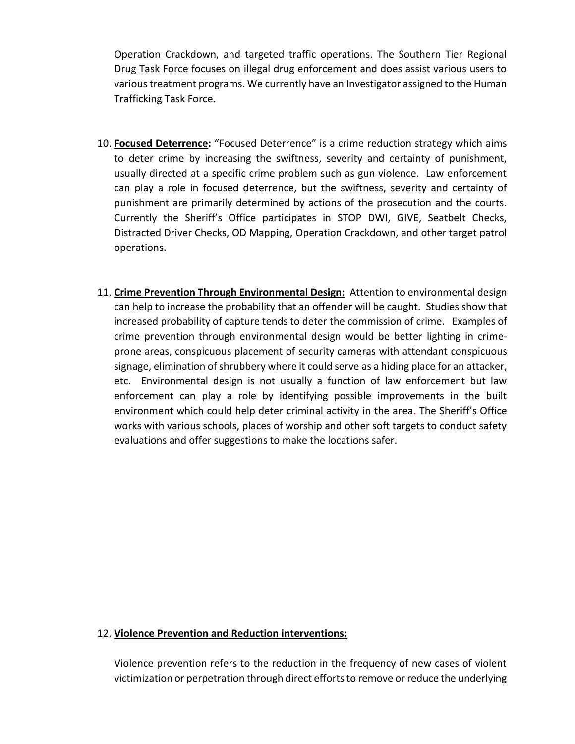Operation Crackdown, and targeted traffic operations. The Southern Tier Regional Drug Task Force focuses on illegal drug enforcement and does assist various users to various treatment programs. We currently have an Investigator assigned to the Human Trafficking Task Force.

- 10. **Focused Deterrence:** "Focused Deterrence" is a crime reduction strategy which aims to deter crime by increasing the swiftness, severity and certainty of punishment, usually directed at a specific crime problem such as gun violence. Law enforcement can play a role in focused deterrence, but the swiftness, severity and certainty of punishment are primarily determined by actions of the prosecution and the courts. Currently the Sheriff's Office participates in STOP DWI, GIVE, Seatbelt Checks, Distracted Driver Checks, OD Mapping, Operation Crackdown, and other target patrol operations.
- 11. **Crime Prevention Through Environmental Design:** Attention to environmental design can help to increase the probability that an offender will be caught. Studies show that increased probability of capture tends to deter the commission of crime. Examples of crime prevention through environmental design would be better lighting in crimeprone areas, conspicuous placement of security cameras with attendant conspicuous signage, elimination of shrubbery where it could serve as a hiding place for an attacker, etc. Environmental design is not usually a function of law enforcement but law enforcement can play a role by identifying possible improvements in the built environment which could help deter criminal activity in the area. The Sheriff's Office works with various schools, places of worship and other soft targets to conduct safety evaluations and offer suggestions to make the locations safer.

## 12. **Violence Prevention and Reduction interventions:**

Violence prevention refers to the reduction in the frequency of new cases of violent victimization or perpetration through direct efforts to remove or reduce the underlying